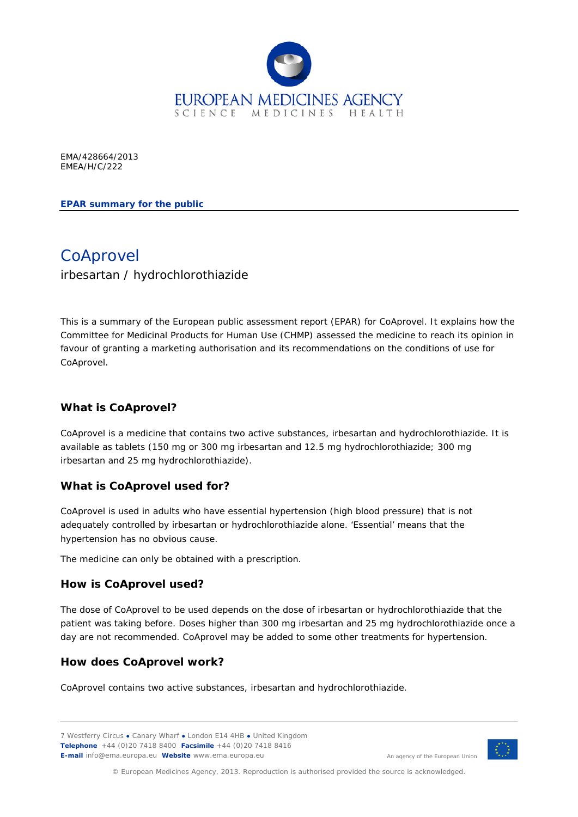

EMA/428664/2013 EMEA/H/C/222

**EPAR summary for the public**

**CoAprovel** irbesartan / hydrochlorothiazide

This is a summary of the European public assessment report (EPAR) for CoAprovel. It explains how the Committee for Medicinal Products for Human Use (CHMP) assessed the medicine to reach its opinion in favour of granting a marketing authorisation and its recommendations on the conditions of use for CoAprovel.

## **What is CoAprovel?**

CoAprovel is a medicine that contains two active substances, irbesartan and hydrochlorothiazide. It is available as tablets (150 mg or 300 mg irbesartan and 12.5 mg hydrochlorothiazide; 300 mg irbesartan and 25 mg hydrochlorothiazide).

### **What is CoAprovel used for?**

CoAprovel is used in adults who have essential hypertension (high blood pressure) that is not adequately controlled by irbesartan or hydrochlorothiazide alone. 'Essential' means that the hypertension has no obvious cause.

The medicine can only be obtained with a prescription.

### **How is CoAprovel used?**

The dose of CoAprovel to be used depends on the dose of irbesartan or hydrochlorothiazide that the patient was taking before. Doses higher than 300 mg irbesartan and 25 mg hydrochlorothiazide once a day are not recommended. CoAprovel may be added to some other treatments for hypertension.

### **How does CoAprovel work?**

CoAprovel contains two active substances, irbesartan and hydrochlorothiazide.

7 Westferry Circus **●** Canary Wharf **●** London E14 4HB **●** United Kingdom **Telephone** +44 (0)20 7418 8400 **Facsimile** +44 (0)20 7418 8416 **E-mail** info@ema.europa.eu **Website** www.ema.europa.eu



An agency of the European Union

© European Medicines Agency, 2013. Reproduction is authorised provided the source is acknowledged.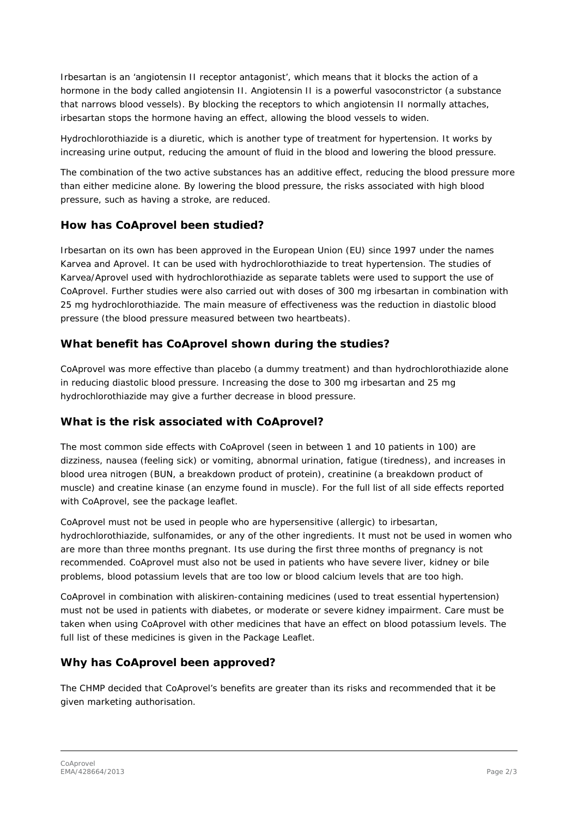Irbesartan is an 'angiotensin II receptor antagonist', which means that it blocks the action of a hormone in the body called angiotensin II. Angiotensin II is a powerful vasoconstrictor (a substance that narrows blood vessels). By blocking the receptors to which angiotensin II normally attaches, irbesartan stops the hormone having an effect, allowing the blood vessels to widen.

Hydrochlorothiazide is a diuretic, which is another type of treatment for hypertension. It works by increasing urine output, reducing the amount of fluid in the blood and lowering the blood pressure.

The combination of the two active substances has an additive effect, reducing the blood pressure more than either medicine alone. By lowering the blood pressure, the risks associated with high blood pressure, such as having a stroke, are reduced.

#### **How has CoAprovel been studied?**

Irbesartan on its own has been approved in the European Union (EU) since 1997 under the names Karvea and Aprovel. It can be used with hydrochlorothiazide to treat hypertension. The studies of Karvea/Aprovel used with hydrochlorothiazide as separate tablets were used to support the use of CoAprovel. Further studies were also carried out with doses of 300 mg irbesartan in combination with 25 mg hydrochlorothiazide. The main measure of effectiveness was the reduction in diastolic blood pressure (the blood pressure measured between two heartbeats).

# **What benefit has CoAprovel shown during the studies?**

CoAprovel was more effective than placebo (a dummy treatment) and than hydrochlorothiazide alone in reducing diastolic blood pressure. Increasing the dose to 300 mg irbesartan and 25 mg hydrochlorothiazide may give a further decrease in blood pressure.

### **What is the risk associated with CoAprovel?**

The most common side effects with CoAprovel (seen in between 1 and 10 patients in 100) are dizziness, nausea (feeling sick) or vomiting, abnormal urination, fatigue (tiredness), and increases in blood urea nitrogen (BUN, a breakdown product of protein), creatinine (a breakdown product of muscle) and creatine kinase (an enzyme found in muscle). For the full list of all side effects reported with CoAprovel, see the package leaflet.

CoAprovel must not be used in people who are hypersensitive (allergic) to irbesartan, hydrochlorothiazide, sulfonamides, or any of the other ingredients. It must not be used in women who are more than three months pregnant. Its use during the first three months of pregnancy is not recommended. CoAprovel must also not be used in patients who have severe liver, kidney or bile problems, blood potassium levels that are too low or blood calcium levels that are too high.

CoAprovel in combination with aliskiren-containing medicines (used to treat essential hypertension) must not be used in patients with diabetes, or moderate or severe kidney impairment. Care must be taken when using CoAprovel with other medicines that have an effect on blood potassium levels. The full list of these medicines is given in the Package Leaflet.

### **Why has CoAprovel been approved?**

The CHMP decided that CoAprovel's benefits are greater than its risks and recommended that it be given marketing authorisation.